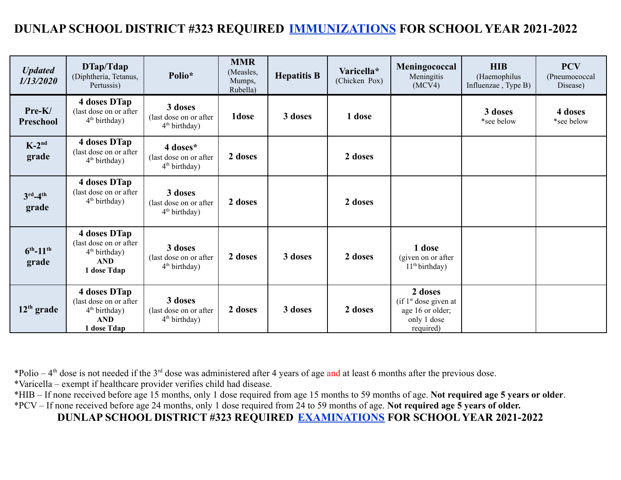## **DUNLAP SCHOOL DISTRICT #323 REQUIRED IMMUNIZATIONS FOR SCHOOL YEAR 2021-2022**

| <b>Updated</b><br>1/13/2020         | DTap/Tdap<br>(Diphtheria, Tetanus,<br>Pertussis)                                       | Polio*                                                         | <b>MMR</b><br>(Measles,<br>Mumps,<br>Rubella) | <b>Hepatitis B</b> | Varicella*<br>(Chicken Pox) | Meningococcal<br>Meningitis<br>(MCV4)                                                        | <b>HIB</b><br>(Haemophilus<br>Influenzae, Type B) | <b>PCV</b><br>(Pneumococcal<br>Disease) |
|-------------------------------------|----------------------------------------------------------------------------------------|----------------------------------------------------------------|-----------------------------------------------|--------------------|-----------------------------|----------------------------------------------------------------------------------------------|---------------------------------------------------|-----------------------------------------|
| Pre-K/<br>Preschool                 | 4 doses DTap<br>(last dose on or after<br>$4th$ birthday)                              | 3 doses<br>(last dose on or after)<br>$4th$ birthday)          | 1dose                                         | 3 doses            | 1 dose                      |                                                                                              | 3 doses<br>*see below                             | 4 doses<br>*see below                   |
| $K-2^{nd}$<br>grade                 | 4 doses DTap<br>(last dose on or after)<br>$4th$ birthday)                             | 4 doses*<br>(last dose on or after<br>$4th$ birthday)          | 2 doses                                       |                    | 2 doses                     |                                                                                              |                                                   |                                         |
| $3rd-4th$<br>grade                  | 4 doses DTap<br>(last dose on or after<br>$4th$ birthday)                              | 3 doses<br>(last dose on or after<br>$4th$ birthday)           | 2 doses                                       |                    | 2 doses                     |                                                                                              |                                                   |                                         |
| $6^{th}$ -11 <sup>th</sup><br>grade | 4 doses DTap<br>(last dose on or after<br>$4th$ birthday)<br><b>AND</b><br>1 dose Tdap | 3 doses<br>(last dose on or after<br>4 <sup>th</sup> birthday) | 2 doses                                       | 3 doses            | 2 doses                     | 1 dose<br>(given on or after)<br>11 <sup>th</sup> birthday)                                  |                                                   |                                         |
| $12th$ grade                        | 4 doses DTap<br>(last dose on or after<br>$4th$ birthday)<br><b>AND</b><br>1 dose Tdap | 3 doses<br>(last dose on or after)<br>$4th$ birthday)          | 2 doses                                       | 3 doses            | 2 doses                     | 2 doses<br>(if 1 <sup>st</sup> dose given at<br>age 16 or older;<br>only 1 dose<br>required) |                                                   |                                         |

\*Polio –  $4<sup>th</sup>$  dose is not needed if the 3<sup>rd</sup> dose was administered after 4 years of age and at least 6 months after the previous dose.

\*Varicella – exempt if healthcare provider verifies child had disease.

\*HIB – If none received before age 15 months, only 1 dose required from age 15 months to 59 months of age. **Not required age 5 years or older**. \*PCV – If none received before age 24 months, only 1 dose required from 24 to 59 months of age. **Not required age 5 years of older.**

**DUNLAP SCHOOL DISTRICT #323 REQUIRED EXAMINATIONS FOR SCHOOL YEAR 2021-2022**